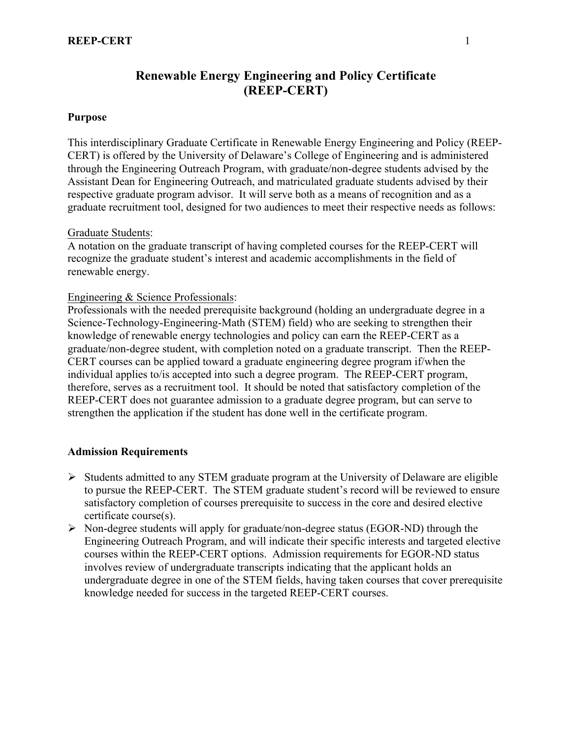# **Renewable Energy Engineering and Policy Certificate (REEP-CERT)**

#### **Purpose**

This interdisciplinary Graduate Certificate in Renewable Energy Engineering and Policy (REEP-CERT) is offered by the University of Delaware's College of Engineering and is administered through the Engineering Outreach Program, with graduate/non-degree students advised by the Assistant Dean for Engineering Outreach, and matriculated graduate students advised by their respective graduate program advisor. It will serve both as a means of recognition and as a graduate recruitment tool, designed for two audiences to meet their respective needs as follows:

#### Graduate Students:

A notation on the graduate transcript of having completed courses for the REEP-CERT will recognize the graduate student's interest and academic accomplishments in the field of renewable energy.

#### Engineering & Science Professionals:

Professionals with the needed prerequisite background (holding an undergraduate degree in a Science-Technology-Engineering-Math (STEM) field) who are seeking to strengthen their knowledge of renewable energy technologies and policy can earn the REEP-CERT as a graduate/non-degree student, with completion noted on a graduate transcript. Then the REEP-CERT courses can be applied toward a graduate engineering degree program if/when the individual applies to/is accepted into such a degree program. The REEP-CERT program, therefore, serves as a recruitment tool. It should be noted that satisfactory completion of the REEP-CERT does not guarantee admission to a graduate degree program, but can serve to strengthen the application if the student has done well in the certificate program.

### **Admission Requirements**

- $\triangleright$  Students admitted to any STEM graduate program at the University of Delaware are eligible to pursue the REEP-CERT. The STEM graduate student's record will be reviewed to ensure satisfactory completion of courses prerequisite to success in the core and desired elective certificate course(s).
- $\triangleright$  Non-degree students will apply for graduate/non-degree status (EGOR-ND) through the Engineering Outreach Program, and will indicate their specific interests and targeted elective courses within the REEP-CERT options. Admission requirements for EGOR-ND status involves review of undergraduate transcripts indicating that the applicant holds an undergraduate degree in one of the STEM fields, having taken courses that cover prerequisite knowledge needed for success in the targeted REEP-CERT courses.